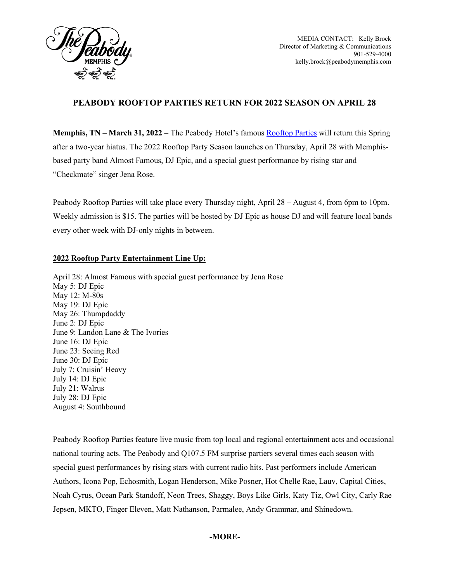

MEDIA CONTACT: Kelly Brock Director of Marketing & Communications 901-529-4000 kelly.brock@peabodymemphis.com

## **PEABODY ROOFTOP PARTIES RETURN FOR 2022 SEASON ON APRIL 28**

**Memphis, TN – March 31, 2022 –** The Peabody Hotel's famous [Rooftop Parties](https://www.peabodymemphis.com/rooftop-parties) will return this Spring after a two-year hiatus. The 2022 Rooftop Party Season launches on Thursday, April 28 with Memphisbased party band Almost Famous, DJ Epic, and a special guest performance by rising star and "Checkmate" singer Jena Rose.

Peabody Rooftop Parties will take place every Thursday night, April 28 – August 4, from 6pm to 10pm. Weekly admission is \$15. The parties will be hosted by DJ Epic as house DJ and will feature local bands every other week with DJ-only nights in between.

## **2022 Rooftop Party Entertainment Line Up:**

April 28: Almost Famous with special guest performance by Jena Rose May 5: DJ Epic May 12: M-80s May 19: DJ Epic May 26: Thumpdaddy June 2: DJ Epic June 9: Landon Lane & The Ivories June 16: DJ Epic June 23: Seeing Red June 30: DJ Epic July 7: Cruisin' Heavy July 14: DJ Epic July 21: Walrus July 28: DJ Epic August 4: Southbound

Peabody Rooftop Parties feature live music from top local and regional entertainment acts and occasional national touring acts. The Peabody and Q107.5 FM surprise partiers several times each season with special guest performances by rising stars with current radio hits. Past performers include American Authors, Icona Pop, Echosmith, Logan Henderson, Mike Posner, Hot Chelle Rae, Lauv, Capital Cities, Noah Cyrus, Ocean Park Standoff, Neon Trees, Shaggy, Boys Like Girls, Katy Tiz, Owl City, Carly Rae Jepsen, MKTO, Finger Eleven, Matt Nathanson, Parmalee, Andy Grammar, and Shinedown.